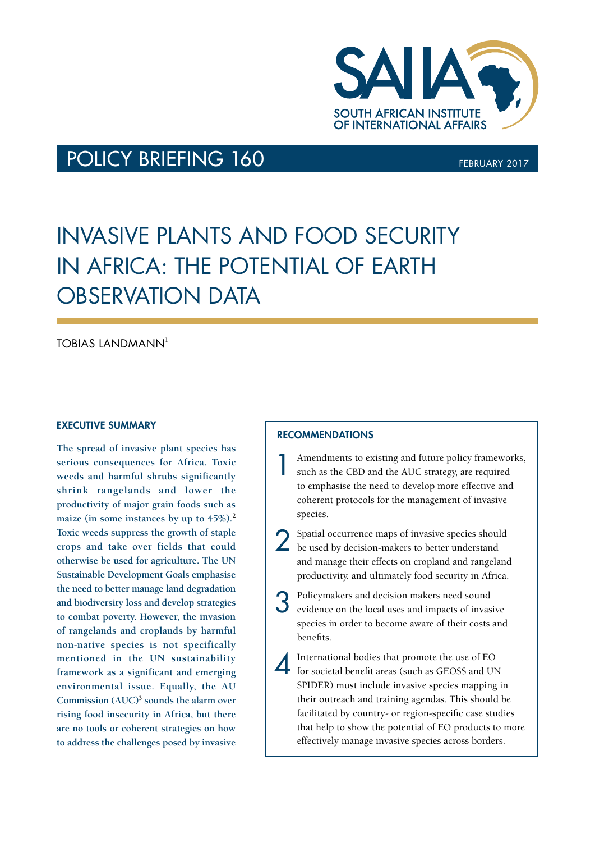

## POLICY BRIEFING 160 FEBRUARY 2017

# INVASIVE PLANTS AND FOOD SECURITY IN AFRICA: THE POTENTIAL OF EARTH OBSERVATION DATA

TOBIAS LANDMANN<sup>1</sup>

#### EXECUTIVE SUMMARY

**The spread of invasive plant species has serious consequences for Africa. Toxic weeds and harmful shrubs significantly shrink rangelands and lower the productivity of major grain foods such as maize (in some instances by up to 45%).**<sup>2</sup> **Toxic weeds suppress the growth of staple crops and take over fields that could otherwise be used for agriculture. The UN Sustainable Development Goals emphasise the need to better manage land degradation and biodiversity loss and develop strategies to combat poverty. However, the invasion of rangelands and croplands by harmful non-native species is not specifically mentioned in the UN sustainability framework as a significant and emerging environmental issue. Equally, the AU Commission (AUC)**<sup>3</sup>  **sounds the alarm over rising food insecurity in Africa, but there are no tools or coherent strategies on how to address the challenges posed by invasive** 

### RECOMMENDATIONS

1 Amendments to existing and future policy frameworks, such as the CBD and the AUC strategy, are required to emphasise the need to develop more effective and coherent protocols for the management of invasive species.

2 Spatial occurrence maps of invasive species should be used by decision-makers to better understand and manage their effects on cropland and rangeland productivity, and ultimately food security in Africa.

3 Policymakers and decision makers need sound evidence on the local uses and impacts of invasive species in order to become aware of their costs and benefits.

4 International bodies that promote the use of EO for societal benefit areas (such as GEOSS and UN SPIDER) must include invasive species mapping in their outreach and training agendas. This should be facilitated by country- or region-specific case studies that help to show the potential of EO products to more effectively manage invasive species across borders.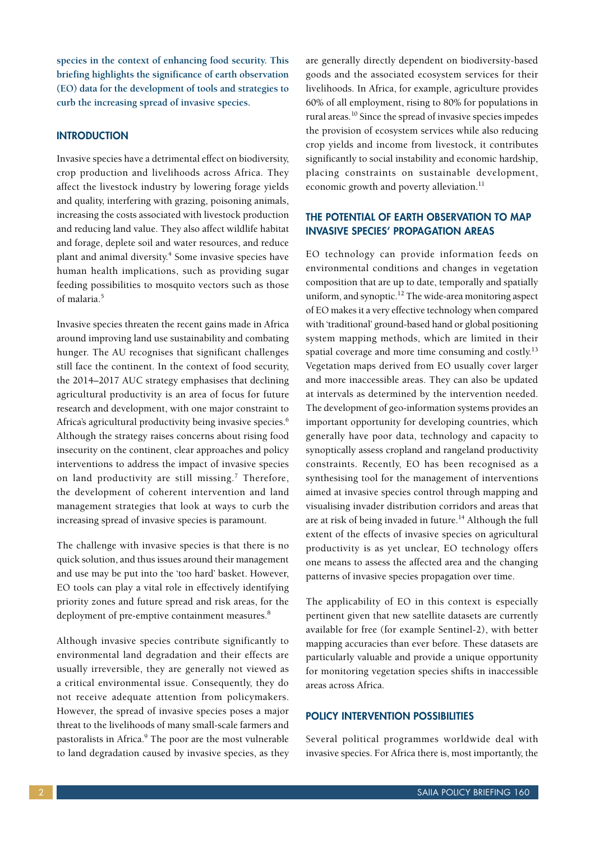**species in the context of enhancing food security. This briefing highlights the significance of earth observation (EO) data for the development of tools and strategies to curb the increasing spread of invasive species.**

#### **INTRODUCTION**

Invasive species have a detrimental effect on biodiversity, crop production and livelihoods across Africa. They affect the livestock industry by lowering forage yields and quality, interfering with grazing, poisoning animals, increasing the costs associated with livestock production and reducing land value. They also affect wildlife habitat and forage, deplete soil and water resources, and reduce plant and animal diversity.<sup>4</sup> Some invasive species have human health implications, such as providing sugar feeding possibilities to mosquito vectors such as those of malaria.5

Invasive species threaten the recent gains made in Africa around improving land use sustainability and combating hunger. The AU recognises that significant challenges still face the continent. In the context of food security, the 2014–2017 AUC strategy emphasises that declining agricultural productivity is an area of focus for future research and development, with one major constraint to Africa's agricultural productivity being invasive species.<sup>6</sup> Although the strategy raises concerns about rising food insecurity on the continent, clear approaches and policy interventions to address the impact of invasive species on land productivity are still missing.<sup>7</sup> Therefore, the development of coherent intervention and land management strategies that look at ways to curb the increasing spread of invasive species is paramount.

The challenge with invasive species is that there is no quick solution, and thus issues around their management and use may be put into the 'too hard' basket. However, EO tools can play a vital role in effectively identifying priority zones and future spread and risk areas, for the deployment of pre-emptive containment measures.<sup>8</sup>

Although invasive species contribute significantly to environmental land degradation and their effects are usually irreversible, they are generally not viewed as a critical environmental issue. Consequently, they do not receive adequate attention from policymakers. However, the spread of invasive species poses a major threat to the livelihoods of many small-scale farmers and pastoralists in Africa.<sup>9</sup> The poor are the most vulnerable to land degradation caused by invasive species, as they

are generally directly dependent on biodiversity-based goods and the associated ecosystem services for their livelihoods. In Africa, for example, agriculture provides 60% of all employment, rising to 80% for populations in rural areas.10 Since the spread of invasive species impedes the provision of ecosystem services while also reducing crop yields and income from livestock, it contributes significantly to social instability and economic hardship, placing constraints on sustainable development, economic growth and poverty alleviation.<sup>11</sup>

#### THE POTENTIAL OF FARTH OBSERVATION TO MAP INVASIVE SPECIES' PROPAGATION AREAS

EO technology can provide information feeds on environmental conditions and changes in vegetation composition that are up to date, temporally and spatially uniform, and synoptic.<sup>12</sup> The wide-area monitoring aspect of EO makes it a very effective technology when compared with 'traditional' ground-based hand or global positioning system mapping methods, which are limited in their spatial coverage and more time consuming and costly.<sup>13</sup> Vegetation maps derived from EO usually cover larger and more inaccessible areas. They can also be updated at intervals as determined by the intervention needed. The development of geo-information systems provides an important opportunity for developing countries, which generally have poor data, technology and capacity to synoptically assess cropland and rangeland productivity constraints. Recently, EO has been recognised as a synthesising tool for the management of interventions aimed at invasive species control through mapping and visualising invader distribution corridors and areas that are at risk of being invaded in future.<sup>14</sup> Although the full extent of the effects of invasive species on agricultural productivity is as yet unclear, EO technology offers one means to assess the affected area and the changing patterns of invasive species propagation over time.

The applicability of EO in this context is especially pertinent given that new satellite datasets are currently available for free (for example Sentinel-2), with better mapping accuracies than ever before. These datasets are particularly valuable and provide a unique opportunity for monitoring vegetation species shifts in inaccessible areas across Africa.

#### POLICY INTERVENTION POSSIBILITIES

Several political programmes worldwide deal with invasive species. For Africa there is, most importantly, the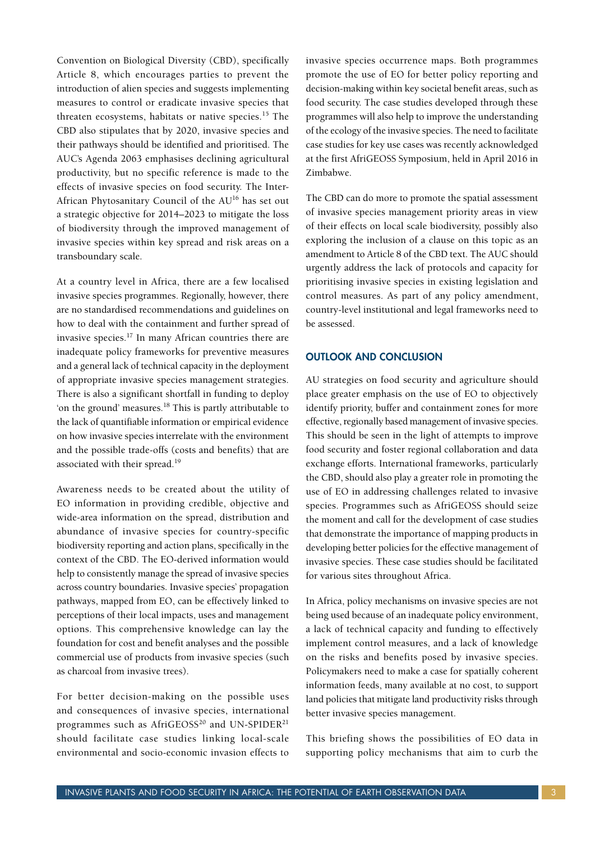introduction of alien species and suggests implementing measures to control or eradicate invasive species that threaten ecosystems, habitats or native species.15 The CBD also stipulates that by 2020, invasive species and their pathways should be identified and prioritised. The AUC's Agenda 2063 emphasises declining agricultural productivity, but no specific reference is made to the effects of invasive species on food security. The Inter-African Phytosanitary Council of the AU<sup>16</sup> has set out a strategic objective for 2014–2023 to mitigate the loss of biodiversity through the improved management of invasive species within key spread and risk areas on a transboundary scale. At a country level in Africa, there are a few localised invasive species programmes. Regionally, however, there

Convention on Biological Diversity (CBD), specifically Article 8, which encourages parties to prevent the

are no standardised recommendations and guidelines on how to deal with the containment and further spread of invasive species.17 In many African countries there are inadequate policy frameworks for preventive measures and a general lack of technical capacity in the deployment of appropriate invasive species management strategies. There is also a significant shortfall in funding to deploy 'on the ground' measures.<sup>18</sup> This is partly attributable to the lack of quantifiable information or empirical evidence on how invasive species interrelate with the environment and the possible trade-offs (costs and benefits) that are associated with their spread.<sup>19</sup>

Awareness needs to be created about the utility of EO information in providing credible, objective and wide-area information on the spread, distribution and abundance of invasive species for country-specific biodiversity reporting and action plans, specifically in the context of the CBD. The EO-derived information would help to consistently manage the spread of invasive species across country boundaries. Invasive species' propagation pathways, mapped from EO, can be effectively linked to perceptions of their local impacts, uses and management options. This comprehensive knowledge can lay the foundation for cost and benefit analyses and the possible commercial use of products from invasive species (such as charcoal from invasive trees).

For better decision-making on the possible uses and consequences of invasive species, international programmes such as AfriGEOSS<sup>20</sup> and UN-SPIDER<sup>21</sup> should facilitate case studies linking local-scale environmental and socio-economic invasion effects to

invasive species occurrence maps. Both programmes promote the use of EO for better policy reporting and decision-making within key societal benefit areas, such as food security. The case studies developed through these programmes will also help to improve the understanding of the ecology of the invasive species. The need to facilitate case studies for key use cases was recently acknowledged at the first AfriGEOSS Symposium, held in April 2016 in Zimbabwe.

The CBD can do more to promote the spatial assessment of invasive species management priority areas in view of their effects on local scale biodiversity, possibly also exploring the inclusion of a clause on this topic as an amendment to Article 8 of the CBD text. The AUC should urgently address the lack of protocols and capacity for prioritising invasive species in existing legislation and control measures. As part of any policy amendment, country-level institutional and legal frameworks need to be assessed.

#### OUTLOOK AND CONCLUSION

AU strategies on food security and agriculture should place greater emphasis on the use of EO to objectively identify priority, buffer and containment zones for more effective, regionally based management of invasive species. This should be seen in the light of attempts to improve food security and foster regional collaboration and data exchange efforts. International frameworks, particularly the CBD, should also play a greater role in promoting the use of EO in addressing challenges related to invasive species. Programmes such as AfriGEOSS should seize the moment and call for the development of case studies that demonstrate the importance of mapping products in developing better policies for the effective management of invasive species. These case studies should be facilitated for various sites throughout Africa.

In Africa, policy mechanisms on invasive species are not being used because of an inadequate policy environment, a lack of technical capacity and funding to effectively implement control measures, and a lack of knowledge on the risks and benefits posed by invasive species. Policymakers need to make a case for spatially coherent information feeds, many available at no cost, to support land policies that mitigate land productivity risks through better invasive species management.

This briefing shows the possibilities of EO data in supporting policy mechanisms that aim to curb the